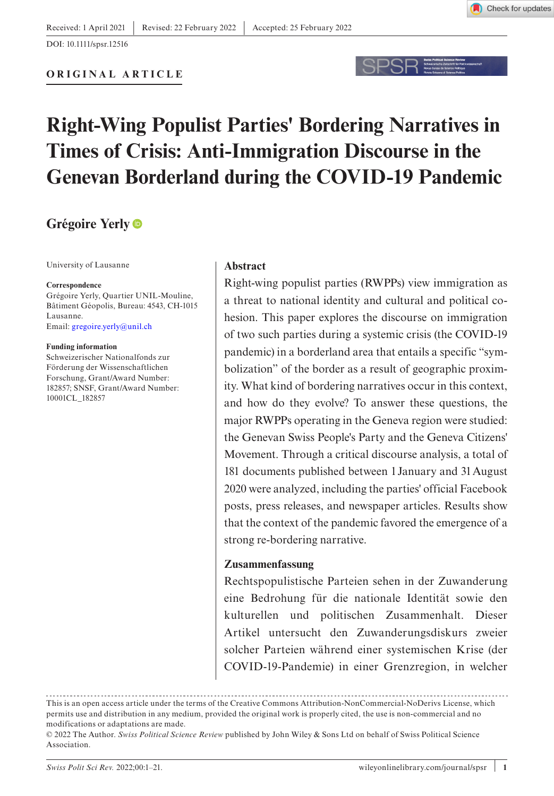

DOI: 10.1111/spsr.12516



# **Right-Wing Populist Parties' Bordering Narratives in Times of Crisis: Anti-Immigration Discourse in the Genevan Borderland during the COVID-19 Pandemic**

## **Grégoire Yerly**

University of Lausanne

#### **Correspondence**

Grégoire Yerly, Quartier UNIL-Mouline, Bâtiment Géopolis, Bureau: 4543, CH-1015 Lausanne. Email: [gregoire.yerly@unil.ch](mailto:gregoire.yerly@unil.ch)

#### **Funding information**

Schweizerischer Nationalfonds zur Förderung der Wissenschaftlichen Forschung, Grant/Award Number: 182857; SNSF, Grant/Award Number: 10001CL\_182857

#### **Abstract**

Right-wing populist parties (RWPPs) view immigration as a threat to national identity and cultural and political cohesion. This paper explores the discourse on immigration of two such parties during a systemic crisis (the COVID-19 pandemic) in a borderland area that entails a specific "symbolization" of the border as a result of geographic proximity. What kind of bordering narratives occur in this context, and how do they evolve? To answer these questions, the major RWPPs operating in the Geneva region were studied: the Genevan Swiss People's Party and the Geneva Citizens' Movement. Through a critical discourse analysis, a total of 181 documents published between 1January and 31August 2020 were analyzed, including the parties' official Facebook posts, press releases, and newspaper articles. Results show that the context of the pandemic favored the emergence of a strong re-bordering narrative.

#### **Zusammenfassung**

Rechtspopulistische Parteien sehen in der Zuwanderung eine Bedrohung für die nationale Identität sowie den kulturellen und politischen Zusammenhalt. Dieser Artikel untersucht den Zuwanderungsdiskurs zweier solcher Parteien während einer systemischen Krise (der COVID-19-Pandemie) in einer Grenzregion, in welcher

This is an open access article under the terms of the Creative Commons Attribution-NonCommercial-NoDerivs License, which permits use and distribution in any medium, provided the original work is properly cited, the use is non-commercial and no modifications or adaptations are made.

<sup>© 2022</sup> The Author. *Swiss Political Science Review* published by John Wiley & Sons Ltd on behalf of Swiss Political Science Association.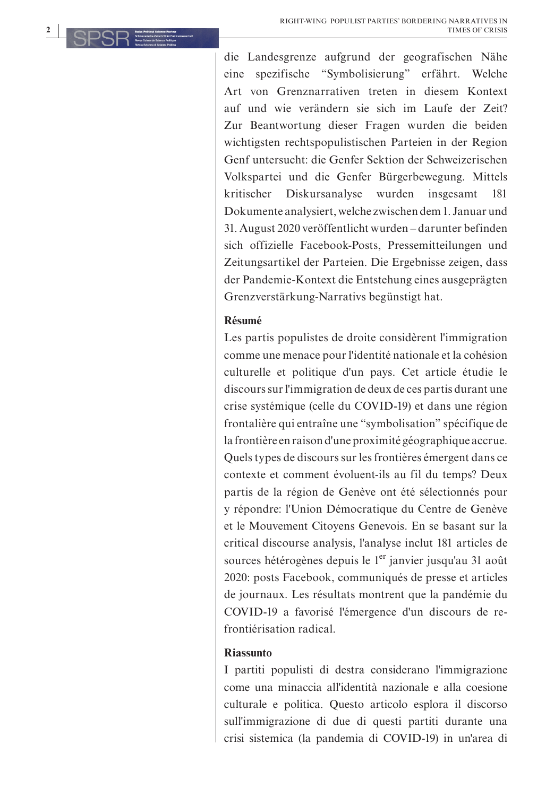die Landesgrenze aufgrund der geografischen Nähe eine spezifische "Symbolisierung" erfährt. Welche Art von Grenznarrativen treten in diesem Kontext auf und wie verändern sie sich im Laufe der Zeit? Zur Beantwortung dieser Fragen wurden die beiden wichtigsten rechtspopulistischen Parteien in der Region Genf untersucht: die Genfer Sektion der Schweizerischen Volkspartei und die Genfer Bürgerbewegung. Mittels kritischer Diskursanalyse wurden insgesamt 181 Dokumente analysiert, welche zwischen dem 1. Januar und 31. August 2020 veröffentlicht wurden – darunter befinden sich offizielle Facebook-Posts, Pressemitteilungen und Zeitungsartikel der Parteien. Die Ergebnisse zeigen, dass der Pandemie-Kontext die Entstehung eines ausgeprägten Grenzverstärkung-Narrativs begünstigt hat.

## **Résumé**

Les partis populistes de droite considèrent l'immigration comme une menace pour l'identité nationale et la cohésion culturelle et politique d'un pays. Cet article étudie le discours sur l'immigration de deux de ces partis durant une crise systémique (celle du COVID-19) et dans une région frontalière qui entraîne une "symbolisation" spécifique de la frontière en raison d'une proximité géographique accrue. Quels types de discours sur les frontières émergent dans ce contexte et comment évoluent-ils au fil du temps? Deux partis de la région de Genève ont été sélectionnés pour y répondre: l'Union Démocratique du Centre de Genève et le Mouvement Citoyens Genevois. En se basant sur la critical discourse analysis, l'analyse inclut 181 articles de sources hétérogènes depuis le 1<sup>er</sup> janvier jusqu'au 31 août 2020: posts Facebook, communiqués de presse et articles de journaux. Les résultats montrent que la pandémie du COVID-19 a favorisé l'émergence d'un discours de refrontiérisation radical.

#### **Riassunto**

I partiti populisti di destra considerano l'immigrazione come una minaccia all'identità nazionale e alla coesione culturale e politica. Questo articolo esplora il discorso sull'immigrazione di due di questi partiti durante una crisi sistemica (la pandemia di COVID-19) in un'area di

**2**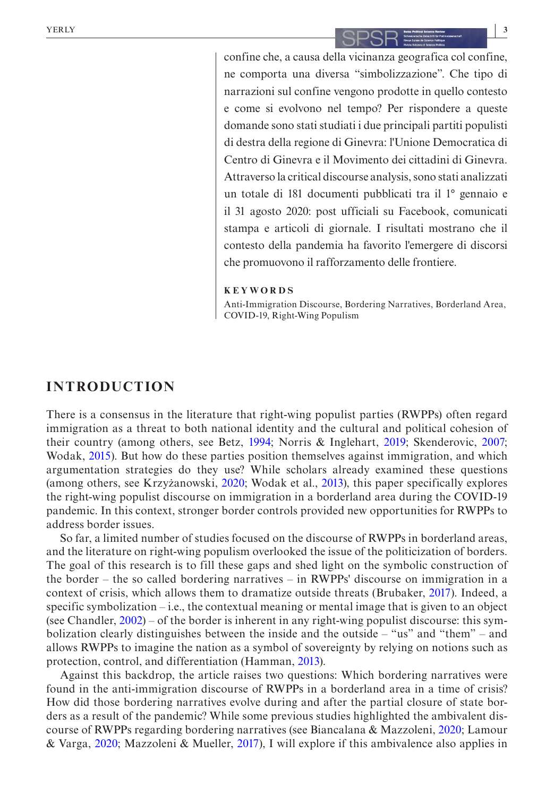confine che, a causa della vicinanza geografica col confine, ne comporta una diversa "simbolizzazione". Che tipo di narrazioni sul confine vengono prodotte in quello contesto e come si evolvono nel tempo? Per rispondere a queste domande sono stati studiati i due principali partiti populisti di destra della regione di Ginevra: l'Unione Democratica di Centro di Ginevra e il Movimento dei cittadini di Ginevra. Attraverso la critical discourse analysis, sono stati analizzati un totale di 181 documenti pubblicati tra il 1° gennaio e il 31 agosto 2020: post ufficiali su Facebook, comunicati stampa e articoli di giornale. I risultati mostrano che il contesto della pandemia ha favorito l'emergere di discorsi che promuovono il rafforzamento delle frontiere.

#### **KEYWORDS**

Anti-Immigration Discourse, Bordering Narratives, Borderland Area, COVID-19, Right-Wing Populism

## **INTRODUCTION**

There is a consensus in the literature that right-wing populist parties (RWPPs) often regard immigration as a threat to both national identity and the cultural and political cohesion of their country (among others, see Betz, [1994;](#page-17-0) Norris & Inglehart, [2019](#page-19-0); Skenderovic, [2007](#page-19-1); Wodak, [2015\)](#page-19-2). But how do these parties position themselves against immigration, and which argumentation strategies do they use? While scholars already examined these questions (among others, see Krzyżanowski, [2020;](#page-18-0) Wodak et al., [2013](#page-20-0)), this paper specifically explores the right-wing populist discourse on immigration in a borderland area during the COVID-19 pandemic. In this context, stronger border controls provided new opportunities for RWPPs to address border issues.

So far, a limited number of studies focused on the discourse of RWPPs in borderland areas, and the literature on right-wing populism overlooked the issue of the politicization of borders. The goal of this research is to fill these gaps and shed light on the symbolic construction of the border – the so called bordering narratives – in RWPPs' discourse on immigration in a context of crisis, which allows them to dramatize outside threats (Brubaker, [2017\)](#page-18-1). Indeed, a specific symbolization  $-i.e.,$  the contextual meaning or mental image that is given to an object (see Chandler, [2002](#page-18-2)) – of the border is inherent in any right-wing populist discourse: this symbolization clearly distinguishes between the inside and the outside – "us" and "them" – and allows RWPPs to imagine the nation as a symbol of sovereignty by relying on notions such as protection, control, and differentiation (Hamman, [2013](#page-18-3)).

Against this backdrop, the article raises two questions: Which bordering narratives were found in the anti-immigration discourse of RWPPs in a borderland area in a time of crisis? How did those bordering narratives evolve during and after the partial closure of state borders as a result of the pandemic? While some previous studies highlighted the ambivalent discourse of RWPPs regarding bordering narratives (see Biancalana & Mazzoleni, [2020;](#page-17-1) Lamour & Varga, [2020;](#page-18-4) Mazzoleni & Mueller, [2017\)](#page-19-3), I will explore if this ambivalence also applies in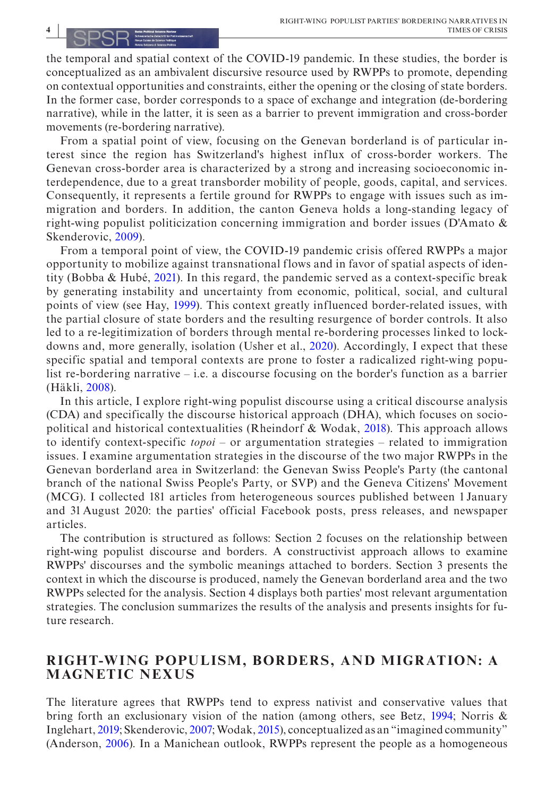the temporal and spatial context of the COVID-19 pandemic. In these studies, the border is conceptualized as an ambivalent discursive resource used by RWPPs to promote, depending on contextual opportunities and constraints, either the opening or the closing of state borders. In the former case, border corresponds to a space of exchange and integration (de-bordering narrative), while in the latter, it is seen as a barrier to prevent immigration and cross-border movements (re-bordering narrative).

From a spatial point of view, focusing on the Genevan borderland is of particular interest since the region has Switzerland's highest influx of cross-border workers. The Genevan cross-border area is characterized by a strong and increasing socioeconomic interdependence, due to a great transborder mobility of people, goods, capital, and services. Consequently, it represents a fertile ground for RWPPs to engage with issues such as immigration and borders. In addition, the canton Geneva holds a long-standing legacy of right-wing populist politicization concerning immigration and border issues (D'Amato & Skenderovic, [2009](#page-18-5)).

From a temporal point of view, the COVID-19 pandemic crisis offered RWPPs a major opportunity to mobilize against transnational flows and in favor of spatial aspects of identity (Bobba & Hubé, [2021](#page-18-6)). In this regard, the pandemic served as a context-specific break by generating instability and uncertainty from economic, political, social, and cultural points of view (see Hay, [1999](#page-18-7)). This context greatly influenced border-related issues, with the partial closure of state borders and the resulting resurgence of border controls. It also led to a re-legitimization of borders through mental re-bordering processes linked to lockdowns and, more generally, isolation (Usher et al., [2020](#page-19-4)). Accordingly, I expect that these specific spatial and temporal contexts are prone to foster a radicalized right-wing populist re-bordering narrative – i.e. a discourse focusing on the border's function as a barrier (Häkli, [2008](#page-18-8)).

In this article, I explore right-wing populist discourse using a critical discourse analysis (CDA) and specifically the discourse historical approach (DHA), which focuses on sociopolitical and historical contextualities (Rheindorf & Wodak, [2018](#page-19-5)). This approach allows to identify context-specific *topoi* – or argumentation strategies – related to immigration issues. I examine argumentation strategies in the discourse of the two major RWPPs in the Genevan borderland area in Switzerland: the Genevan Swiss People's Party (the cantonal branch of the national Swiss People's Party, or SVP) and the Geneva Citizens' Movement (MCG). I collected 181 articles from heterogeneous sources published between 1 January and 31 August 2020: the parties' official Facebook posts, press releases, and newspaper articles.

The contribution is structured as follows: Section 2 focuses on the relationship between right-wing populist discourse and borders. A constructivist approach allows to examine RWPPs' discourses and the symbolic meanings attached to borders. Section 3 presents the context in which the discourse is produced, namely the Genevan borderland area and the two RWPPs selected for the analysis. Section 4 displays both parties' most relevant argumentation strategies. The conclusion summarizes the results of the analysis and presents insights for future research.

## **RIGHT-W ING POPU LISM, BORDERS, A N D M IGRATION: A MAGNETIC NEXUS**

The literature agrees that RWPPs tend to express nativist and conservative values that bring forth an exclusionary vision of the nation (among others, see Betz, [1994](#page-17-0); Norris & Inglehart, [2019](#page-19-0); Skenderovic, [2007;](#page-19-1) Wodak, [2015\)](#page-19-2), conceptualized as an "imagined community" (Anderson, [2006\)](#page-17-2). In a Manichean outlook, RWPPs represent the people as a homogeneous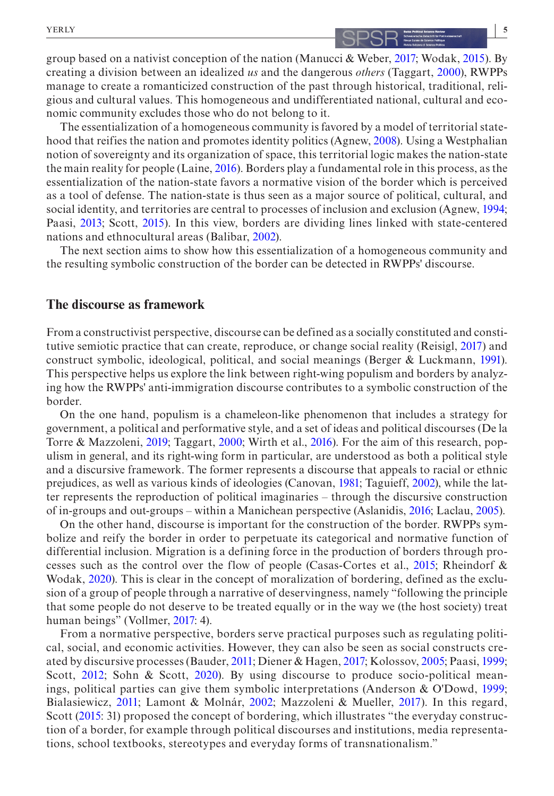The essentialization of a homogeneous community is favored by a model of territorial statehood that reifies the nation and promotes identity politics (Agnew, [2008\)](#page-17-3). Using a Westphalian notion of sovereignty and its organization of space, this territorial logic makes the nation-state the main reality for people (Laine, [2016](#page-18-10)). Borders play a fundamental role in this process, as the essentialization of the nation-state favors a normative vision of the border which is perceived as a tool of defense. The nation-state is thus seen as a major source of political, cultural, and social identity, and territories are central to processes of inclusion and exclusion (Agnew, [1994](#page-17-4); Paasi, [2013](#page-19-7); Scott, [2015\)](#page-19-8). In this view, borders are dividing lines linked with state-centered nations and ethnocultural areas (Balibar, [2002](#page-17-5)).

The next section aims to show how this essentialization of a homogeneous community and the resulting symbolic construction of the border can be detected in RWPPs' discourse.

#### **The discourse as framework**

From a constructivist perspective, discourse can be defined as a socially constituted and constitutive semiotic practice that can create, reproduce, or change social reality (Reisigl, [2017](#page-19-9)) and construct symbolic, ideological, political, and social meanings (Berger & Luckmann, [1991](#page-17-6)). This perspective helps us explore the link between right-wing populism and borders by analyzing how the RWPPs' anti-immigration discourse contributes to a symbolic construction of the border.

On the one hand, populism is a chameleon-like phenomenon that includes a strategy for government, a political and performative style, and a set of ideas and political discourses (De la Torre & Mazzoleni, [2019;](#page-18-11) Taggart, [2000;](#page-19-6) Wirth et al., [2016\)](#page-19-10). For the aim of this research, populism in general, and its right-wing form in particular, are understood as both a political style and a discursive framework. The former represents a discourse that appeals to racial or ethnic prejudices, as well as various kinds of ideologies (Canovan, [1981](#page-18-12); Taguieff, [2002](#page-19-11)), while the latter represents the reproduction of political imaginaries – through the discursive construction of in-groups and out-groups – within a Manichean perspective (Aslanidis, [2016;](#page-17-7) Laclau, [2005\)](#page-18-13).

On the other hand, discourse is important for the construction of the border. RWPPs symbolize and reify the border in order to perpetuate its categorical and normative function of differential inclusion. Migration is a defining force in the production of borders through processes such as the control over the flow of people (Casas-Cortes et al., [2015;](#page-18-14) Rheindorf & Wodak, [2020](#page-19-12)). This is clear in the concept of moralization of bordering, defined as the exclusion of a group of people through a narrative of deservingness, namely "following the principle that some people do not deserve to be treated equally or in the way we (the host society) treat human beings" (Vollmer, [2017](#page-19-13): 4).

From a normative perspective, borders serve practical purposes such as regulating political, social, and economic activities. However, they can also be seen as social constructs created by discursive processes (Bauder, [2011](#page-17-8); Diener & Hagen, [2017](#page-18-15); Kolossov, [2005;](#page-18-16) Paasi, [1999](#page-19-14); Scott, [2012](#page-19-15); Sohn & Scott, [2020\)](#page-19-16). By using discourse to produce socio-political meanings, political parties can give them symbolic interpretations (Anderson & O'Dowd, [1999](#page-17-9); Bialasiewicz, [2011;](#page-17-10) Lamont & Molnár, [2002;](#page-18-17) Mazzoleni & Mueller, [2017](#page-19-3)). In this regard, Scott [\(2015](#page-19-8): 31) proposed the concept of bordering, which illustrates "the everyday construction of a border, for example through political discourses and institutions, media representations, school textbooks, stereotypes and everyday forms of transnationalism."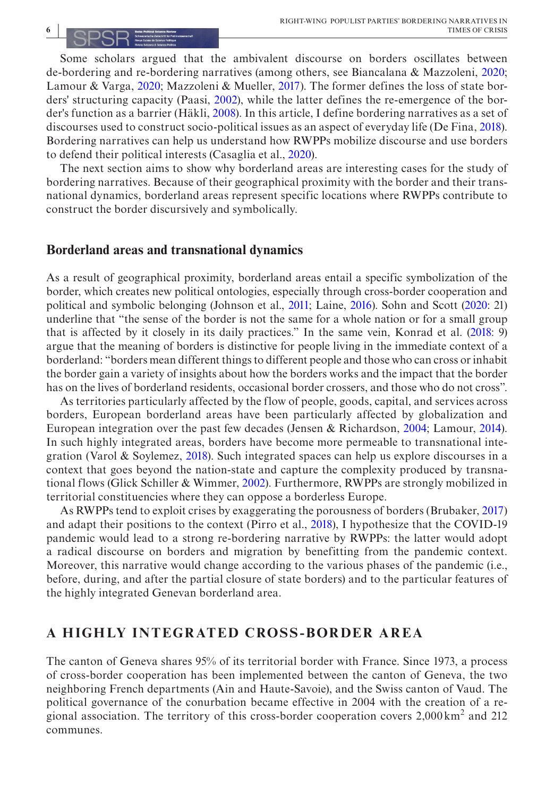## **6 |**

Some scholars argued that the ambivalent discourse on borders oscillates between de-bordering and re-bordering narratives (among others, see Biancalana & Mazzoleni, [2020](#page-17-1); Lamour & Varga, [2020](#page-18-4); Mazzoleni & Mueller, [2017\)](#page-19-3). The former defines the loss of state borders' structuring capacity (Paasi, [2002](#page-19-17)), while the latter defines the re-emergence of the border's function as a barrier (Häkli, [2008](#page-18-8)). In this article, I define bordering narratives as a set of discourses used to construct socio-political issues as an aspect of everyday life (De Fina, [2018](#page-18-18)). Bordering narratives can help us understand how RWPPs mobilize discourse and use borders to defend their political interests (Casaglia et al., [2020](#page-18-19)).

The next section aims to show why borderland areas are interesting cases for the study of bordering narratives. Because of their geographical proximity with the border and their transnational dynamics, borderland areas represent specific locations where RWPPs contribute to construct the border discursively and symbolically.

#### **Borderland areas and transnational dynamics**

As a result of geographical proximity, borderland areas entail a specific symbolization of the border, which creates new political ontologies, especially through cross-border cooperation and political and symbolic belonging (Johnson et al., [2011](#page-18-20); Laine, [2016](#page-18-10)). Sohn and Scott [\(2020](#page-19-16): 21) underline that "the sense of the border is not the same for a whole nation or for a small group that is affected by it closely in its daily practices." In the same vein, Konrad et al. ([2018:](#page-18-21) 9) argue that the meaning of borders is distinctive for people living in the immediate context of a borderland: "borders mean different things to different people and those who can cross or inhabit the border gain a variety of insights about how the borders works and the impact that the border has on the lives of borderland residents, occasional border crossers, and those who do not cross".

As territories particularly affected by the flow of people, goods, capital, and services across borders, European borderland areas have been particularly affected by globalization and European integration over the past few decades (Jensen & Richardson, [2004](#page-18-22); Lamour, [2014](#page-18-23)). In such highly integrated areas, borders have become more permeable to transnational integration (Varol & Soylemez,  $2018$ ). Such integrated spaces can help us explore discourses in a context that goes beyond the nation-state and capture the complexity produced by transnational flows (Glick Schiller & Wimmer, [2002\)](#page-18-24). Furthermore, RWPPs are strongly mobilized in territorial constituencies where they can oppose a borderless Europe.

As RWPPs tend to exploit crises by exaggerating the porousness of borders (Brubaker, [2017\)](#page-18-1) and adapt their positions to the context (Pirro et al., [2018\)](#page-19-19), I hypothesize that the COVID-19 pandemic would lead to a strong re-bordering narrative by RWPPs: the latter would adopt a radical discourse on borders and migration by benefitting from the pandemic context. Moreover, this narrative would change according to the various phases of the pandemic (i.e., before, during, and after the partial closure of state borders) and to the particular features of the highly integrated Genevan borderland area.

## **A HIGHLY INTEGRATED CROSS-BORDER AREA**

The canton of Geneva shares 95% of its territorial border with France. Since 1973, a process of cross-border cooperation has been implemented between the canton of Geneva, the two neighboring French departments (Ain and Haute-Savoie), and the Swiss canton of Vaud. The political governance of the conurbation became effective in 2004 with the creation of a regional association. The territory of this cross-border cooperation covers  $2,000 \text{ km}^2$  and  $212$ communes.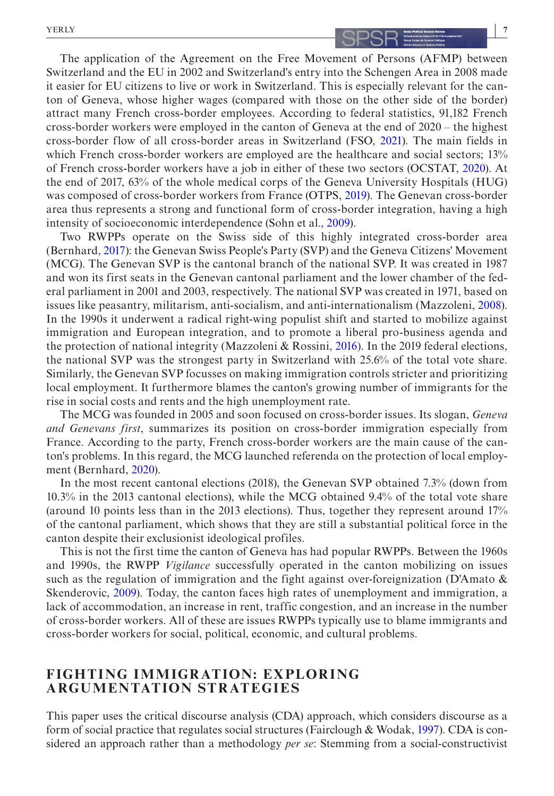## The application of the Agreement on the Free Movement of Persons (AFMP) between Switzerland and the EU in 2002 and Switzerland's entry into the Schengen Area in 2008 made it easier for EU citizens to live or work in Switzerland. This is especially relevant for the canton of Geneva, whose higher wages (compared with those on the other side of the border) attract many French cross-border employees. According to federal statistics, 91,182 French cross-border workers were employed in the canton of Geneva at the end of 2020 – the highest cross-border flow of all cross-border areas in Switzerland (FSO, [2021\)](#page-18-25). The main fields in which French cross-border workers are employed are the healthcare and social sectors; 13% of French cross-border workers have a job in either of these two sectors (OCSTAT, [2020\)](#page-19-20). At the end of 2017, 63% of the whole medical corps of the Geneva University Hospitals (HUG) was composed of cross-border workers from France (OTPS, [2019\)](#page-19-21). The Genevan cross-border area thus represents a strong and functional form of cross-border integration, having a high intensity of socioeconomic interdependence (Sohn et al., [2009\)](#page-19-22).

Two RWPPs operate on the Swiss side of this highly integrated cross-border area (Bernhard, [2017\)](#page-17-11): the Genevan Swiss People's Party (SVP) and the Geneva Citizens' Movement (MCG). The Genevan SVP is the cantonal branch of the national SVP. It was created in 1987 and won its first seats in the Genevan cantonal parliament and the lower chamber of the federal parliament in 2001 and 2003, respectively. The national SVP was created in 1971, based on issues like peasantry, militarism, anti-socialism, and anti-internationalism (Mazzoleni, [2008](#page-18-26)). In the 1990s it underwent a radical right-wing populist shift and started to mobilize against immigration and European integration, and to promote a liberal pro-business agenda and the protection of national integrity (Mazzoleni & Rossini, [2016\)](#page-19-23). In the 2019 federal elections, the national SVP was the strongest party in Switzerland with 25.6% of the total vote share. Similarly, the Genevan SVP focusses on making immigration controls stricter and prioritizing local employment. It furthermore blames the canton's growing number of immigrants for the rise in social costs and rents and the high unemployment rate.

The MCG was founded in 2005 and soon focused on cross-border issues. Its slogan, *Geneva and Genevans first*, summarizes its position on cross-border immigration especially from France. According to the party, French cross-border workers are the main cause of the canton's problems. In this regard, the MCG launched referenda on the protection of local employment (Bernhard, [2020\)](#page-17-12).

In the most recent cantonal elections (2018), the Genevan SVP obtained 7.3% (down from 10.3% in the 2013 cantonal elections), while the MCG obtained 9.4% of the total vote share (around 10 points less than in the 2013 elections). Thus, together they represent around 17% of the cantonal parliament, which shows that they are still a substantial political force in the canton despite their exclusionist ideological profiles.

This is not the first time the canton of Geneva has had popular RWPPs. Between the 1960s and 1990s, the RWPP *Vigilance* successfully operated in the canton mobilizing on issues such as the regulation of immigration and the fight against over-foreignization (D'Amato  $\&$ Skenderovic, [2009](#page-18-5)). Today, the canton faces high rates of unemployment and immigration, a lack of accommodation, an increase in rent, traffic congestion, and an increase in the number of cross-border workers. All of these are issues RWPPs typically use to blame immigrants and cross-border workers for social, political, economic, and cultural problems.

## **FIGHTING IMMIGRATION: EXPLORING ARGUMENTATION STRATEGIES**

This paper uses the critical discourse analysis (CDA) approach, which considers discourse as a form of social practice that regulates social structures (Fairclough & Wodak, [1997](#page-18-27)). CDA is considered an approach rather than a methodology *per se*: Stemming from a social-constructivist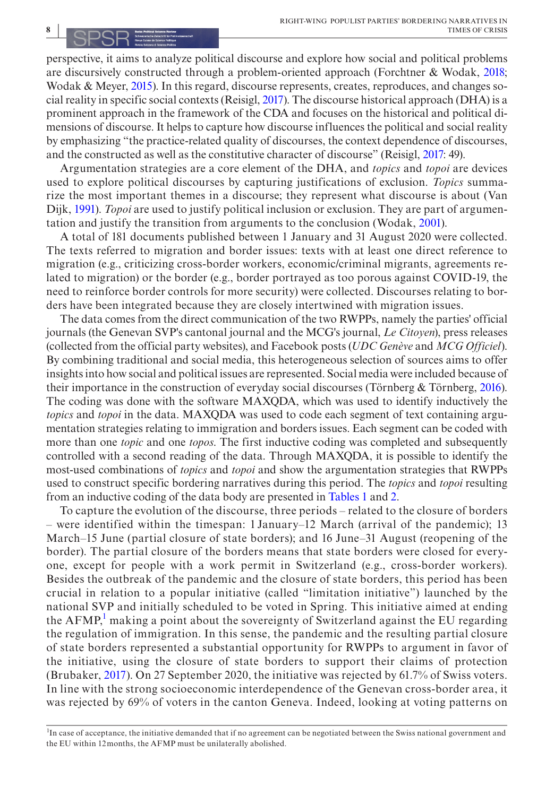perspective, it aims to analyze political discourse and explore how social and political problems are discursively constructed through a problem-oriented approach (Forchtner & Wodak, [2018](#page-18-28); Wodak & Meyer, [2015](#page-20-1)). In this regard, discourse represents, creates, reproduces, and changes social reality in specific social contexts (Reisigl, [2017](#page-19-9)). The discourse historical approach (DHA) is a prominent approach in the framework of the CDA and focuses on the historical and political dimensions of discourse. It helps to capture how discourse influences the political and social reality by emphasizing "the practice-related quality of discourses, the context dependence of discourses, and the constructed as well as the constitutive character of discourse" (Reisigl, [2017:](#page-19-9) 49).

Argumentation strategies are a core element of the DHA, and *topics* and *topoi* are devices used to explore political discourses by capturing justifications of exclusion. *Topics* summarize the most important themes in a discourse; they represent what discourse is about (Van Dijk, [1991](#page-19-24)). *Topoi* are used to justify political inclusion or exclusion. They are part of argumentation and justify the transition from arguments to the conclusion (Wodak, [2001\)](#page-20-2).

A total of 181 documents published between 1 January and 31 August 2020 were collected. The texts referred to migration and border issues: texts with at least one direct reference to migration (e.g., criticizing cross-border workers, economic/criminal migrants, agreements related to migration) or the border (e.g., border portrayed as too porous against COVID-19, the need to reinforce border controls for more security) were collected. Discourses relating to borders have been integrated because they are closely intertwined with migration issues.

The data comes from the direct communication of the two RWPPs, namely the parties' official journals (the Genevan SVP's cantonal journal and the MCG's journal, *Le Citoyen*), press releases (collected from the official party websites), and Facebook posts (*UDC Genève* and *MCG Officiel*). By combining traditional and social media, this heterogeneous selection of sources aims to offer insights into how social and political issues are represented. Social media were included because of their importance in the construction of everyday social discourses (Törnberg & Törnberg, [2016\)](#page-19-25). The coding was done with the software MAXQDA, which was used to identify inductively the *topics* and *topoi* in the data. MAXQDA was used to code each segment of text containing argumentation strategies relating to immigration and borders issues. Each segment can be coded with more than one *topic* and one *topos*. The first inductive coding was completed and subsequently controlled with a second reading of the data. Through MAXQDA, it is possible to identify the most-used combinations of *topics* and *topoi* and show the argumentation strategies that RWPPs used to construct specific bordering narratives during this period. The *topics* and *topoi* resulting from an inductive coding of the data body are presented in Tables [1](#page-8-0) and [2.](#page-8-1)

To capture the evolution of the discourse, three periods – related to the closure of borders – were identified within the timespan: 1 January–12 March (arrival of the pandemic); 13 March–15 June (partial closure of state borders); and 16 June–31 August (reopening of the border). The partial closure of the borders means that state borders were closed for everyone, except for people with a work permit in Switzerland (e.g., cross-border workers). Besides the outbreak of the pandemic and the closure of state borders, this period has been crucial in relation to a popular initiative (called "limitation initiative") launched by the national SVP and initially scheduled to be voted in Spring. This initiative aimed at ending the  $AFMP<sup>1</sup>$  $AFMP<sup>1</sup>$  $AFMP<sup>1</sup>$  making a point about the sovereignty of Switzerland against the EU regarding the regulation of immigration. In this sense, the pandemic and the resulting partial closure of state borders represented a substantial opportunity for RWPPs to argument in favor of the initiative, using the closure of state borders to support their claims of protection (Brubaker, [2017\)](#page-18-1). On 27 September 2020, the initiative was rejected by 61.7% of Swiss voters. In line with the strong socioeconomic interdependence of the Genevan cross-border area, it was rejected by 69% of voters in the canton Geneva. Indeed, looking at voting patterns on

<span id="page-7-0"></span><sup>1</sup>In case of acceptance, the initiative demanded that if no agreement can be negotiated between the Swiss national government and the EU within 12months, the AFMP must be unilaterally abolished.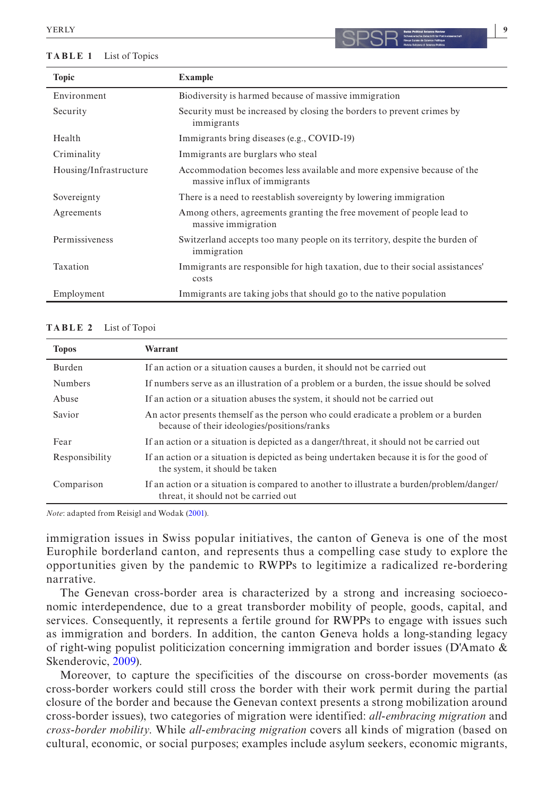#### <span id="page-8-0"></span>**TABLE 1** List of Topics

| <b>Topic</b><br><b>Example</b>    |                                                                                                        |
|-----------------------------------|--------------------------------------------------------------------------------------------------------|
| Environment                       | Biodiversity is harmed because of massive immigration                                                  |
| Security<br>immigrants            | Security must be increased by closing the borders to prevent crimes by                                 |
| Health                            | Immigrants bring diseases (e.g., COVID-19)                                                             |
| Criminality                       | Immigrants are burglars who steal                                                                      |
| Housing/Infrastructure            | Accommodation becomes less available and more expensive because of the<br>massive influx of immigrants |
| Sovereignty                       | There is a need to reestablish sovereignty by lowering immigration                                     |
| Agreements<br>massive immigration | Among others, agreements granting the free movement of people lead to                                  |
| Permissiveness<br>immigration     | Switzerland accepts too many people on its territory, despite the burden of                            |
| Taxation<br>costs                 | Immigrants are responsible for high taxation, due to their social assistances'                         |
| Employment                        | Immigrants are taking jobs that should go to the native population                                     |

#### <span id="page-8-1"></span>**TABLE 2** List of Topoi

| <b>Topos</b>   | Warrant                                                                                                                           |
|----------------|-----------------------------------------------------------------------------------------------------------------------------------|
| Burden         | If an action or a situation causes a burden, it should not be carried out                                                         |
| <b>Numbers</b> | If numbers serve as an illustration of a problem or a burden, the issue should be solved                                          |
| Abuse          | If an action or a situation abuses the system, it should not be carried out                                                       |
| Savior         | An actor presents themself as the person who could eradicate a problem or a burden<br>because of their ideologies/positions/ranks |
| Fear           | If an action or a situation is depicted as a danger/threat, it should not be carried out                                          |
| Responsibility | If an action or a situation is depicted as being undertaken because it is for the good of<br>the system, it should be taken       |
| Comparison     | If an action or a situation is compared to another to illustrate a burden/problem/danger/<br>threat, it should not be carried out |

*Note*: adapted from Reisigl and Wodak [\(2001\)](#page-19-26).

immigration issues in Swiss popular initiatives, the canton of Geneva is one of the most Europhile borderland canton, and represents thus a compelling case study to explore the opportunities given by the pandemic to RWPPs to legitimize a radicalized re-bordering narrative.

The Genevan cross-border area is characterized by a strong and increasing socioeconomic interdependence, due to a great transborder mobility of people, goods, capital, and services. Consequently, it represents a fertile ground for RWPPs to engage with issues such as immigration and borders. In addition, the canton Geneva holds a long-standing legacy of right-wing populist politicization concerning immigration and border issues (D'Amato & Skenderovic, [2009\)](#page-18-5).

Moreover, to capture the specificities of the discourse on cross-border movements (as cross-border workers could still cross the border with their work permit during the partial closure of the border and because the Genevan context presents a strong mobilization around cross-border issues), two categories of migration were identified: *all-embracing migration* and *cross-border mobility*. While *all-embracing migration* covers all kinds of migration (based on cultural, economic, or social purposes; examples include asylum seekers, economic migrants,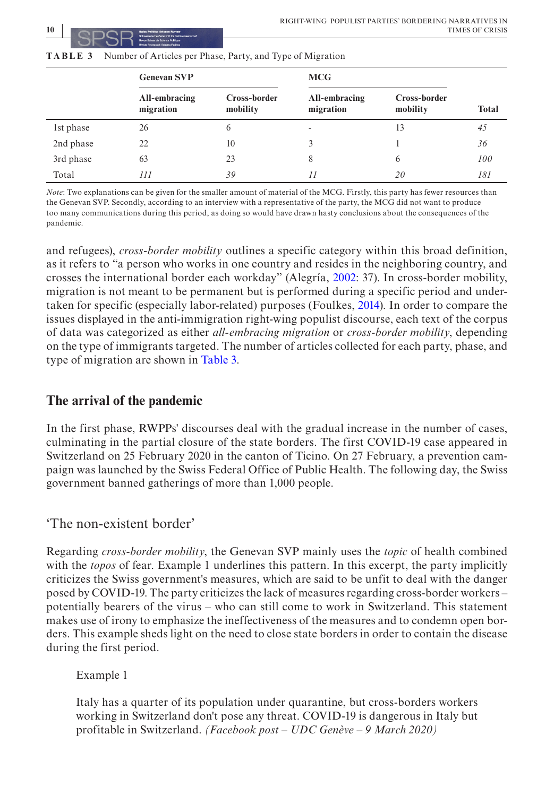|           | <b>Genevan SVP</b>         |                          | <b>MCG</b>                 |                          |              |
|-----------|----------------------------|--------------------------|----------------------------|--------------------------|--------------|
|           | All-embracing<br>migration | Cross-border<br>mobility | All-embracing<br>migration | Cross-border<br>mobility | <b>Total</b> |
| 1st phase | 26                         | 6                        | $\overline{\phantom{a}}$   | 13                       | 45           |
| 2nd phase | 22                         | 10                       |                            |                          | 36           |
| 3rd phase | 63                         | 23                       | 8                          | 6                        | 100          |
| Total     | 111                        | 39                       | 11                         | 20                       | 181          |

<span id="page-9-0"></span>**TABLE 3** Number of Articles per Phase, Party, and Type of Migration

*Note*: Two explanations can be given for the smaller amount of material of the MCG. Firstly, this party has fewer resources than the Genevan SVP. Secondly, according to an interview with a representative of the party, the MCG did not want to produce too many communications during this period, as doing so would have drawn hasty conclusions about the consequences of the pandemic.

and refugees), *cross-border mobility* outlines a specific category within this broad definition, as it refers to "a person who works in one country and resides in the neighboring country, and crosses the international border each workday" (Alegría, [2002](#page-17-13): 37). In cross-border mobility, migration is not meant to be permanent but is performed during a specific period and undertaken for specific (especially labor-related) purposes (Foulkes, [2014](#page-18-29)). In order to compare the issues displayed in the anti-immigration right-wing populist discourse, each text of the corpus of data was categorized as either *all-embracing migration* or *cross-border mobility*, depending on the type of immigrants targeted. The number of articles collected for each party, phase, and type of migration are shown in Table [3.](#page-9-0)

## **The arrival of the pandemic**

In the first phase, RWPPs' discourses deal with the gradual increase in the number of cases, culminating in the partial closure of the state borders. The first COVID-19 case appeared in Switzerland on 25 February 2020 in the canton of Ticino. On 27 February, a prevention campaign was launched by the Swiss Federal Office of Public Health. The following day, the Swiss government banned gatherings of more than 1,000 people.

## 'The non-existent border'

Regarding *cross-border mobility*, the Genevan SVP mainly uses the *topic* of health combined with the *topos* of fear. Example 1 underlines this pattern. In this excerpt, the party implicitly criticizes the Swiss government's measures, which are said to be unfit to deal with the danger posed by COVID-19. The party criticizes the lack of measures regarding cross-border workers – potentially bearers of the virus – who can still come to work in Switzerland. This statement makes use of irony to emphasize the ineffectiveness of the measures and to condemn open borders. This example sheds light on the need to close state borders in order to contain the disease during the first period.

Example 1

Italy has a quarter of its population under quarantine, but cross-borders workers working in Switzerland don't pose any threat. COVID-19 is dangerous in Italy but profitable in Switzerland. *(Facebook post – UDC Genève – 9 March 2020)*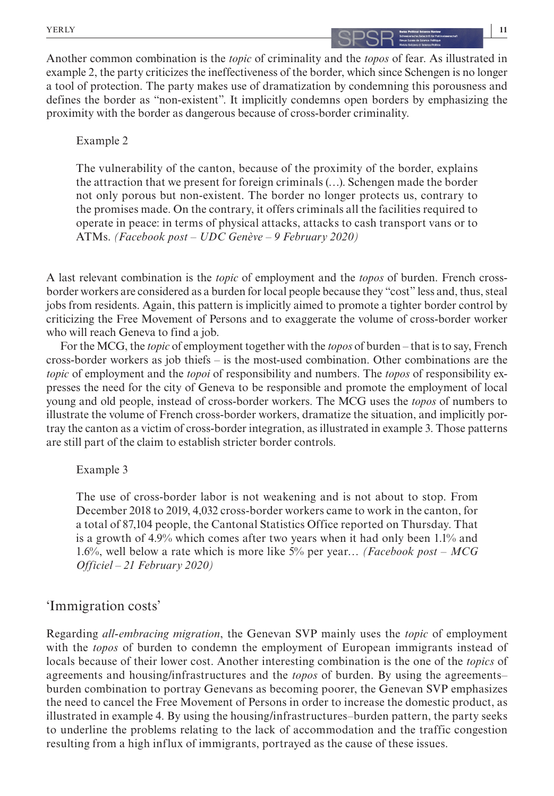## **|** YERLY **11**

Another common combination is the *topic* of criminality and the *topos* of fear. As illustrated in example 2, the party criticizes the ineffectiveness of the border, which since Schengen is no longer a tool of protection. The party makes use of dramatization by condemning this porousness and defines the border as "non-existent". It implicitly condemns open borders by emphasizing the proximity with the border as dangerous because of cross-border criminality.

## Example 2

The vulnerability of the canton, because of the proximity of the border, explains the attraction that we present for foreign criminals (…). Schengen made the border not only porous but non-existent. The border no longer protects us, contrary to the promises made. On the contrary, it offers criminals all the facilities required to operate in peace: in terms of physical attacks, attacks to cash transport vans or to ATMs. *(Facebook post – UDC Genève – 9 February 2020)*

A last relevant combination is the *topic* of employment and the *topos* of burden. French crossborder workers are considered as a burden for local people because they "cost" less and, thus, steal jobs from residents. Again, this pattern is implicitly aimed to promote a tighter border control by criticizing the Free Movement of Persons and to exaggerate the volume of cross-border worker who will reach Geneva to find a job.

For the MCG, the *topic* of employment together with the *topos* of burden – that is to say, French cross-border workers as job thiefs – is the most-used combination. Other combinations are the *topic* of employment and the *topoi* of responsibility and numbers. The *topos* of responsibility expresses the need for the city of Geneva to be responsible and promote the employment of local young and old people, instead of cross-border workers. The MCG uses the *topos* of numbers to illustrate the volume of French cross-border workers, dramatize the situation, and implicitly portray the canton as a victim of cross-border integration, as illustrated in example 3. Those patterns are still part of the claim to establish stricter border controls.

## Example 3

The use of cross-border labor is not weakening and is not about to stop. From December 2018 to 2019, 4,032 cross-border workers came to work in the canton, for a total of 87,104 people, the Cantonal Statistics Office reported on Thursday. That is a growth of 4.9% which comes after two years when it had only been 1.1% and 1.6%, well below a rate which is more like 5% per year… *(Facebook post – MCG Officiel – 21 February 2020)*

## 'Immigration costs'

Regarding *all-embracing migration*, the Genevan SVP mainly uses the *topic* of employment with the *topos* of burden to condemn the employment of European immigrants instead of locals because of their lower cost. Another interesting combination is the one of the *topics* of agreements and housing/infrastructures and the *topos* of burden. By using the agreements– burden combination to portray Genevans as becoming poorer, the Genevan SVP emphasizes the need to cancel the Free Movement of Persons in order to increase the domestic product, as illustrated in example 4. By using the housing/infrastructures–burden pattern, the party seeks to underline the problems relating to the lack of accommodation and the traffic congestion resulting from a high influx of immigrants, portrayed as the cause of these issues.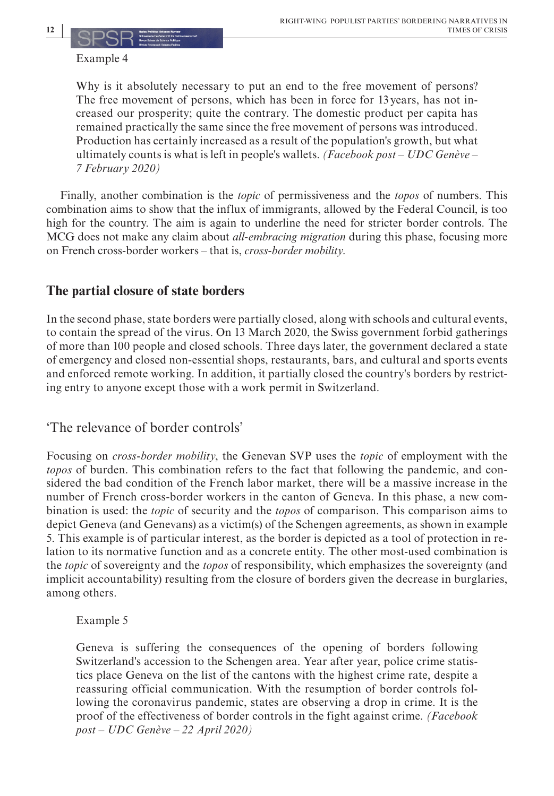## Example 4

Why is it absolutely necessary to put an end to the free movement of persons? The free movement of persons, which has been in force for 13 years, has not increased our prosperity; quite the contrary. The domestic product per capita has remained practically the same since the free movement of persons was introduced. Production has certainly increased as a result of the population's growth, but what ultimately counts is what is left in people's wallets. *(Facebook post – UDC Genève – 7 February 2020)*

Finally, another combination is the *topic* of permissiveness and the *topos* of numbers. This combination aims to show that the influx of immigrants, allowed by the Federal Council, is too high for the country. The aim is again to underline the need for stricter border controls. The MCG does not make any claim about *all-embracing migration* during this phase, focusing more on French cross-border workers – that is, *cross-border mobility*.

## **The partial closure of state borders**

In the second phase, state borders were partially closed, along with schools and cultural events, to contain the spread of the virus. On 13 March 2020, the Swiss government forbid gatherings of more than 100 people and closed schools. Three days later, the government declared a state of emergency and closed non-essential shops, restaurants, bars, and cultural and sports events and enforced remote working. In addition, it partially closed the country's borders by restricting entry to anyone except those with a work permit in Switzerland.

## 'The relevance of border controls'

Focusing on *cross-border mobility*, the Genevan SVP uses the *topic* of employment with the *topos* of burden. This combination refers to the fact that following the pandemic, and considered the bad condition of the French labor market, there will be a massive increase in the number of French cross-border workers in the canton of Geneva. In this phase, a new combination is used: the *topic* of security and the *topos* of comparison. This comparison aims to depict Geneva (and Genevans) as a victim(s) of the Schengen agreements, as shown in example 5. This example is of particular interest, as the border is depicted as a tool of protection in relation to its normative function and as a concrete entity. The other most-used combination is the *topic* of sovereignty and the *topos* of responsibility, which emphasizes the sovereignty (and implicit accountability) resulting from the closure of borders given the decrease in burglaries, among others.

## Example 5

Geneva is suffering the consequences of the opening of borders following Switzerland's accession to the Schengen area. Year after year, police crime statistics place Geneva on the list of the cantons with the highest crime rate, despite a reassuring official communication. With the resumption of border controls following the coronavirus pandemic, states are observing a drop in crime. It is the proof of the effectiveness of border controls in the fight against crime. *(Facebook post – UDC Genève – 22 April 2020)*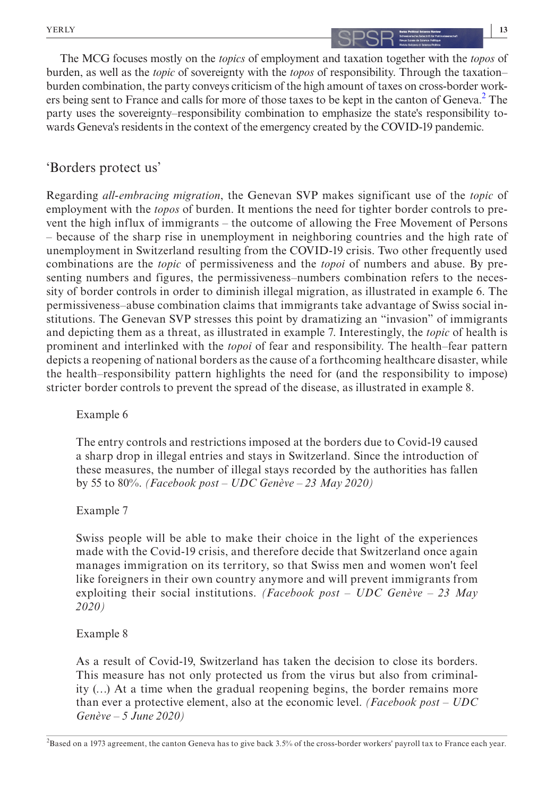## **13**

The MCG focuses mostly on the *topics* of employment and taxation together with the *topos* of burden, as well as the *topic* of sovereignty with the *topos* of responsibility. Through the taxation– burden combination, the party conveys criticism of the high amount of taxes on cross-border work-ers being sent to France and calls for more of those taxes to be kept in the canton of Geneva.<sup>[2](#page-12-0)</sup> The party uses the sovereignty–responsibility combination to emphasize the state's responsibility towards Geneva's residents in the context of the emergency created by the COVID-19 pandemic.

## 'Borders protect us'

Regarding *all-embracing migration*, the Genevan SVP makes significant use of the *topic* of employment with the *topos* of burden. It mentions the need for tighter border controls to prevent the high influx of immigrants – the outcome of allowing the Free Movement of Persons – because of the sharp rise in unemployment in neighboring countries and the high rate of unemployment in Switzerland resulting from the COVID-19 crisis. Two other frequently used combinations are the *topic* of permissiveness and the *topoi* of numbers and abuse. By presenting numbers and figures, the permissiveness–numbers combination refers to the necessity of border controls in order to diminish illegal migration, as illustrated in example 6. The permissiveness–abuse combination claims that immigrants take advantage of Swiss social institutions. The Genevan SVP stresses this point by dramatizing an "invasion" of immigrants and depicting them as a threat, as illustrated in example 7. Interestingly, the *topic* of health is prominent and interlinked with the *topoi* of fear and responsibility. The health–fear pattern depicts a reopening of national borders as the cause of a forthcoming healthcare disaster, while the health–responsibility pattern highlights the need for (and the responsibility to impose) stricter border controls to prevent the spread of the disease, as illustrated in example 8.

## Example 6

The entry controls and restrictions imposed at the borders due to Covid-19 caused a sharp drop in illegal entries and stays in Switzerland. Since the introduction of these measures, the number of illegal stays recorded by the authorities has fallen by 55 to 80%. *(Facebook post – UDC Genève – 23 May 2020)*

## Example 7

Swiss people will be able to make their choice in the light of the experiences made with the Covid-19 crisis, and therefore decide that Switzerland once again manages immigration on its territory, so that Swiss men and women won't feel like foreigners in their own country anymore and will prevent immigrants from exploiting their social institutions. *(Facebook post – UDC Genève – 23 May 2020)*

## Example 8

As a result of Covid-19, Switzerland has taken the decision to close its borders. This measure has not only protected us from the virus but also from criminality (…) At a time when the gradual reopening begins, the border remains more than ever a protective element, also at the economic level. *(Facebook post – UDC Genève – 5 June 2020)*

<span id="page-12-0"></span>2 Based on a 1973 agreement, the canton Geneva has to give back 3.5% of the cross-border workers' payroll tax to France each year.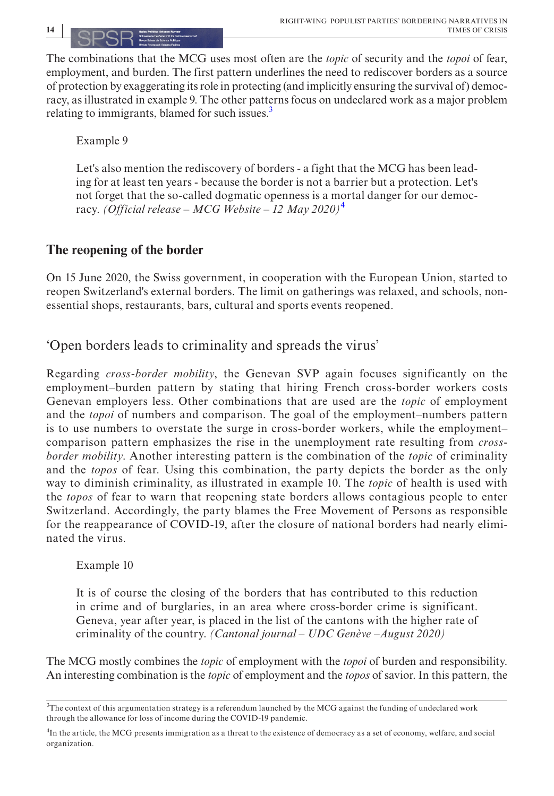The combinations that the MCG uses most often are the *topic* of security and the *topoi* of fear, employment, and burden. The first pattern underlines the need to rediscover borders as a source of protection by exaggerating its role in protecting (and implicitly ensuring the survival of) democracy, as illustrated in example 9. The other patterns focus on undeclared work as a major problem relating to immigrants, blamed for such issues. $\frac{3}{2}$ 

Example 9

Let's also mention the rediscovery of borders - a fight that the MCG has been leading for at least ten years - because the border is not a barrier but a protection. Let's not forget that the so-called dogmatic openness is a mortal danger for our democracy. *(Official release – MCG Website – 12 May 2020)*[4](#page-13-1)

## **The reopening of the border**

On 15 June 2020, the Swiss government, in cooperation with the European Union, started to reopen Switzerland's external borders. The limit on gatherings was relaxed, and schools, nonessential shops, restaurants, bars, cultural and sports events reopened.

'Open borders leads to criminality and spreads the virus'

Regarding *cross-border mobility*, the Genevan SVP again focuses significantly on the employment–burden pattern by stating that hiring French cross-border workers costs Genevan employers less. Other combinations that are used are the *topic* of employment and the *topoi* of numbers and comparison. The goal of the employment–numbers pattern is to use numbers to overstate the surge in cross-border workers, while the employment– comparison pattern emphasizes the rise in the unemployment rate resulting from *crossborder mobility*. Another interesting pattern is the combination of the *topic* of criminality and the *topos* of fear. Using this combination, the party depicts the border as the only way to diminish criminality, as illustrated in example 10. The *topic* of health is used with the *topos* of fear to warn that reopening state borders allows contagious people to enter Switzerland. Accordingly, the party blames the Free Movement of Persons as responsible for the reappearance of COVID-19, after the closure of national borders had nearly eliminated the virus.

## Example 10

It is of course the closing of the borders that has contributed to this reduction in crime and of burglaries, in an area where cross-border crime is significant. Geneva, year after year, is placed in the list of the cantons with the higher rate of criminality of the country. *(Cantonal journal – UDC Genève –August 2020)*

The MCG mostly combines the *topic* of employment with the *topoi* of burden and responsibility. An interesting combination is the *topic* of employment and the *topos* of savior. In this pattern, the

<span id="page-13-0"></span><sup>&</sup>lt;sup>3</sup>The context of this argumentation strategy is a referendum launched by the MCG against the funding of undeclared work through the allowance for loss of income during the COVID-19 pandemic.

<span id="page-13-1"></span><sup>&</sup>lt;sup>4</sup>In the article, the MCG presents immigration as a threat to the existence of democracy as a set of economy, welfare, and social organization.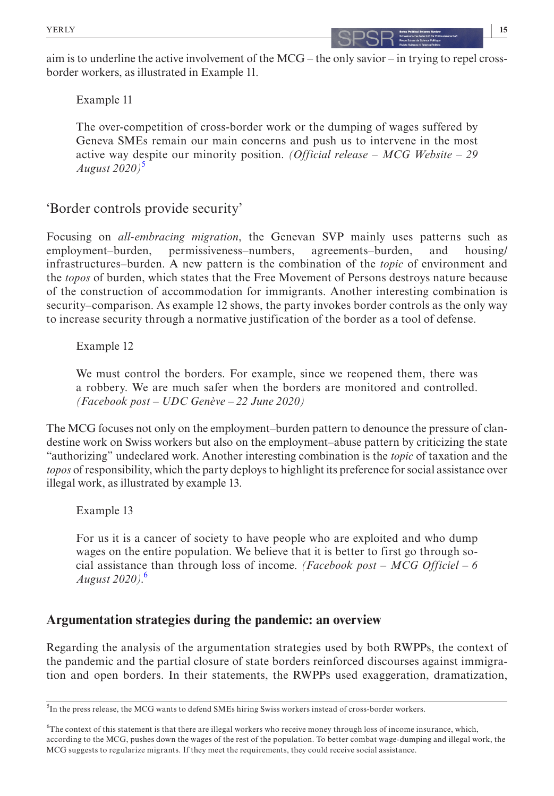Example 11

The over-competition of cross-border work or the dumping of wages suffered by Geneva SMEs remain our main concerns and push us to intervene in the most active way despite our minority position. *(Official release – MCG Website – 29 August 2020)*[5](#page-14-0)

## 'Border controls provide security'

Focusing on *all-embracing migration*, the Genevan SVP mainly uses patterns such as employment–burden, permissiveness–numbers, agreements–burden, and housing/ infrastructures–burden. A new pattern is the combination of the *topic* of environment and the *topos* of burden, which states that the Free Movement of Persons destroys nature because of the construction of accommodation for immigrants. Another interesting combination is security–comparison. As example 12 shows, the party invokes border controls as the only way to increase security through a normative justification of the border as a tool of defense.

## Example 12

We must control the borders. For example, since we reopened them, there was a robbery. We are much safer when the borders are monitored and controlled. *(Facebook post – UDC Genève – 22 June 2020)*

The MCG focuses not only on the employment–burden pattern to denounce the pressure of clandestine work on Swiss workers but also on the employment–abuse pattern by criticizing the state "authorizing" undeclared work. Another interesting combination is the *topic* of taxation and the *topos* of responsibility, which the party deploys to highlight its preference for social assistance over illegal work, as illustrated by example 13.

Example 13

For us it is a cancer of society to have people who are exploited and who dump wages on the entire population. We believe that it is better to first go through social assistance than through loss of income. *(Facebook post – MCG Officiel – 6 August 2020)*. [6](#page-14-1)

## **Argumentation strategies during the pandemic: an overview**

Regarding the analysis of the argumentation strategies used by both RWPPs, the context of the pandemic and the partial closure of state borders reinforced discourses against immigration and open borders. In their statements, the RWPPs used exaggeration, dramatization,

<span id="page-14-0"></span><sup>&</sup>lt;sup>5</sup>In the press release, the MCG wants to defend SMEs hiring Swiss workers instead of cross-border workers.

<span id="page-14-1"></span><sup>6</sup> The context of this statement is that there are illegal workers who receive money through loss of income insurance, which, according to the MCG, pushes down the wages of the rest of the population. To better combat wage-dumping and illegal work, the MCG suggests to regularize migrants. If they meet the requirements, they could receive social assistance.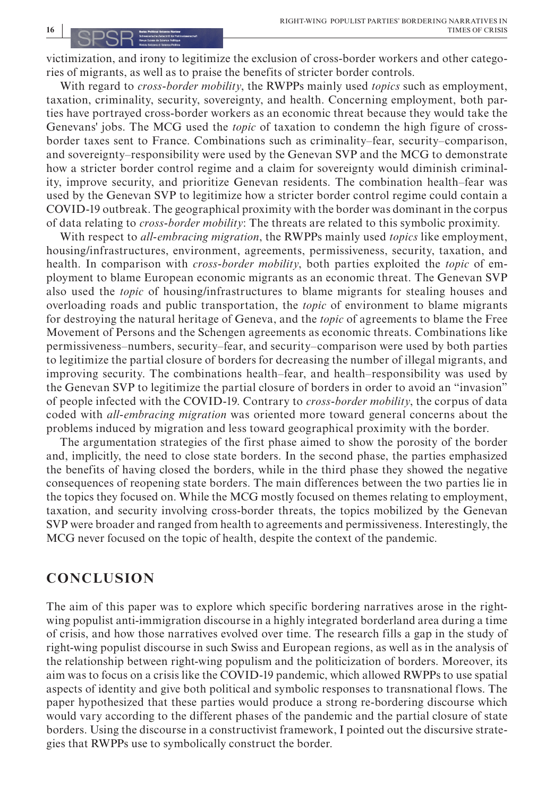victimization, and irony to legitimize the exclusion of cross-border workers and other categories of migrants, as well as to praise the benefits of stricter border controls.

With regard to *cross-border mobility*, the RWPPs mainly used *topics* such as employment, taxation, criminality, security, sovereignty, and health. Concerning employment, both parties have portrayed cross-border workers as an economic threat because they would take the Genevans' jobs. The MCG used the *topic* of taxation to condemn the high figure of crossborder taxes sent to France. Combinations such as criminality–fear, security–comparison, and sovereignty–responsibility were used by the Genevan SVP and the MCG to demonstrate how a stricter border control regime and a claim for sovereignty would diminish criminality, improve security, and prioritize Genevan residents. The combination health–fear was used by the Genevan SVP to legitimize how a stricter border control regime could contain a COVID-19 outbreak. The geographical proximity with the border was dominant in the corpus of data relating to *cross-border mobility*: The threats are related to this symbolic proximity.

With respect to *all-embracing migration*, the RWPPs mainly used *topics* like employment, housing/infrastructures, environment, agreements, permissiveness, security, taxation, and health. In comparison with *cross-border mobility*, both parties exploited the *topic* of employment to blame European economic migrants as an economic threat. The Genevan SVP also used the *topic* of housing/infrastructures to blame migrants for stealing houses and overloading roads and public transportation, the *topic* of environment to blame migrants for destroying the natural heritage of Geneva, and the *topic* of agreements to blame the Free Movement of Persons and the Schengen agreements as economic threats. Combinations like permissiveness–numbers, security–fear, and security–comparison were used by both parties to legitimize the partial closure of borders for decreasing the number of illegal migrants, and improving security. The combinations health–fear, and health–responsibility was used by the Genevan SVP to legitimize the partial closure of borders in order to avoid an "invasion" of people infected with the COVID-19. Contrary to *cross-border mobility*, the corpus of data coded with *all-embracing migration* was oriented more toward general concerns about the problems induced by migration and less toward geographical proximity with the border.

The argumentation strategies of the first phase aimed to show the porosity of the border and, implicitly, the need to close state borders. In the second phase, the parties emphasized the benefits of having closed the borders, while in the third phase they showed the negative consequences of reopening state borders. The main differences between the two parties lie in the topics they focused on. While the MCG mostly focused on themes relating to employment, taxation, and security involving cross-border threats, the topics mobilized by the Genevan SVP were broader and ranged from health to agreements and permissiveness. Interestingly, the MCG never focused on the topic of health, despite the context of the pandemic.

## **CONCLUSION**

The aim of this paper was to explore which specific bordering narratives arose in the rightwing populist anti-immigration discourse in a highly integrated borderland area during a time of crisis, and how those narratives evolved over time. The research fills a gap in the study of right-wing populist discourse in such Swiss and European regions, as well as in the analysis of the relationship between right-wing populism and the politicization of borders. Moreover, its aim was to focus on a crisis like the COVID-19 pandemic, which allowed RWPPs to use spatial aspects of identity and give both political and symbolic responses to transnational flows. The paper hypothesized that these parties would produce a strong re-bordering discourse which would vary according to the different phases of the pandemic and the partial closure of state borders. Using the discourse in a constructivist framework, I pointed out the discursive strategies that RWPPs use to symbolically construct the border.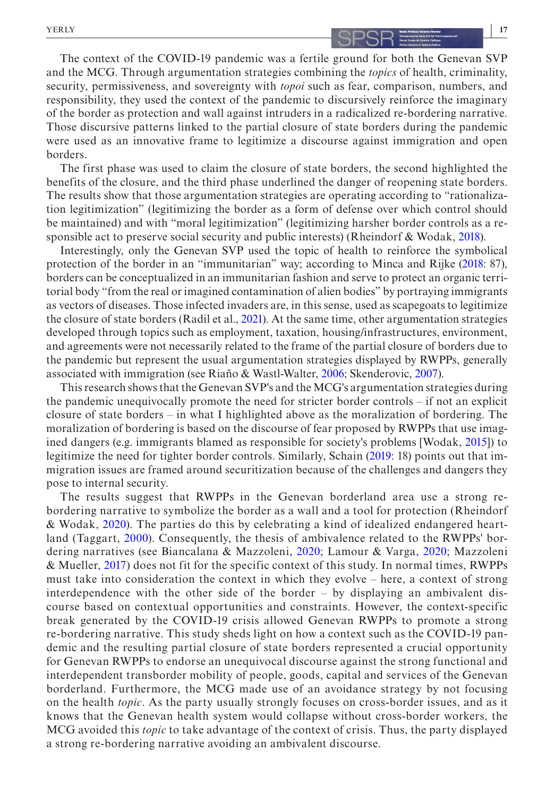## **|** YERLY **17**

The context of the COVID-19 pandemic was a fertile ground for both the Genevan SVP and the MCG. Through argumentation strategies combining the *topics* of health, criminality, security, permissiveness, and sovereignty with *topoi* such as fear, comparison, numbers, and responsibility, they used the context of the pandemic to discursively reinforce the imaginary of the border as protection and wall against intruders in a radicalized re-bordering narrative. Those discursive patterns linked to the partial closure of state borders during the pandemic were used as an innovative frame to legitimize a discourse against immigration and open borders.

The first phase was used to claim the closure of state borders, the second highlighted the benefits of the closure, and the third phase underlined the danger of reopening state borders. The results show that those argumentation strategies are operating according to "rationalization legitimization" (legitimizing the border as a form of defense over which control should be maintained) and with "moral legitimization" (legitimizing harsher border controls as a responsible act to preserve social security and public interests) (Rheindorf & Wodak, [2018\)](#page-19-5).

Interestingly, only the Genevan SVP used the topic of health to reinforce the symbolical protection of the border in an "immunitarian" way; according to Minca and Rijke [\(2018:](#page-19-27) 87), borders can be conceptualized in an immunitarian fashion and serve to protect an organic territorial body "from the real or imagined contamination of alien bodies" by portraying immigrants as vectors of diseases. Those infected invaders are, in this sense, used as scapegoats to legitimize the closure of state borders (Radil et al., [2021\)](#page-19-28). At the same time, other argumentation strategies developed through topics such as employment, taxation, housing/infrastructures, environment, and agreements were not necessarily related to the frame of the partial closure of borders due to the pandemic but represent the usual argumentation strategies displayed by RWPPs, generally associated with immigration (see Riaño & Wastl-Walter, [2006](#page-19-29); Skenderovic, [2007](#page-19-1)).

This research shows that the Genevan SVP's and the MCG's argumentation strategies during the pandemic unequivocally promote the need for stricter border controls – if not an explicit closure of state borders – in what I highlighted above as the moralization of bordering. The moralization of bordering is based on the discourse of fear proposed by RWPPs that use imagined dangers (e.g. immigrants blamed as responsible for society's problems [Wodak, [2015](#page-19-2)]) to legitimize the need for tighter border controls. Similarly, Schain [\(2019](#page-19-30): 18) points out that immigration issues are framed around securitization because of the challenges and dangers they pose to internal security.

The results suggest that RWPPs in the Genevan borderland area use a strong rebordering narrative to symbolize the border as a wall and a tool for protection (Rheindorf & Wodak, [2020](#page-19-12)). The parties do this by celebrating a kind of idealized endangered heartland (Taggart, [2000](#page-19-6)). Consequently, the thesis of ambivalence related to the RWPPs' bordering narratives (see Biancalana & Mazzoleni, [2020](#page-17-1); Lamour & Varga, [2020](#page-18-4); Mazzoleni & Mueller, [2017\)](#page-19-3) does not fit for the specific context of this study. In normal times, RWPPs must take into consideration the context in which they evolve – here, a context of strong interdependence with the other side of the border – by displaying an ambivalent discourse based on contextual opportunities and constraints. However, the context-specific break generated by the COVID-19 crisis allowed Genevan RWPPs to promote a strong re-bordering narrative. This study sheds light on how a context such as the COVID-19 pandemic and the resulting partial closure of state borders represented a crucial opportunity for Genevan RWPPs to endorse an unequivocal discourse against the strong functional and interdependent transborder mobility of people, goods, capital and services of the Genevan borderland. Furthermore, the MCG made use of an avoidance strategy by not focusing on the health *topic*. As the party usually strongly focuses on cross-border issues, and as it knows that the Genevan health system would collapse without cross-border workers, the MCG avoided this *topic* to take advantage of the context of crisis. Thus, the party displayed a strong re-bordering narrative avoiding an ambivalent discourse.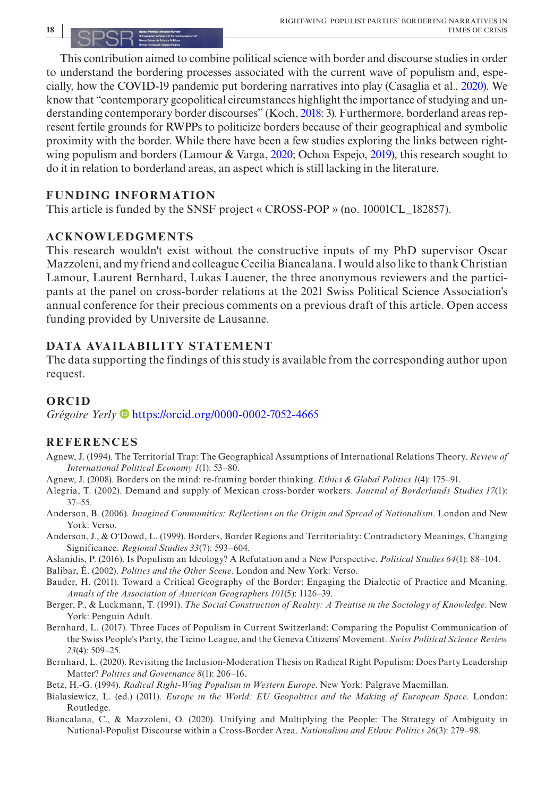This contribution aimed to combine political science with border and discourse studies in order to understand the bordering processes associated with the current wave of populism and, especially, how the COVID-19 pandemic put bordering narratives into play (Casaglia et al., [2020\)](#page-18-19). We know that "contemporary geopolitical circumstances highlight the importance of studying and understanding contemporary border discourses" (Koch, [2018:](#page-18-30) 3). Furthermore, borderland areas represent fertile grounds for RWPPs to politicize borders because of their geographical and symbolic proximity with the border. While there have been a few studies exploring the links between rightwing populism and borders (Lamour & Varga, [2020](#page-18-4); Ochoa Espejo, [2019](#page-19-31)), this research sought to do it in relation to borderland areas, an aspect which is still lacking in the literature.

## **FUNDING INFORMATION**

This article is funded by the SNSF project « CROSS-POP » (no. 10001CL\_182857).

## **ACKNOWLEDGMENTS**

This research wouldn't exist without the constructive inputs of my PhD supervisor Oscar Mazzoleni, and my friend and colleague Cecilia Biancalana. I would also like to thank Christian Lamour, Laurent Bernhard, Lukas Lauener, the three anonymous reviewers and the participants at the panel on cross-border relations at the 2021 Swiss Political Science Association's annual conference for their precious comments on a previous draft of this article. Open access funding provided by Universite de Lausanne.

## **DATA AVAILABILITY STATEMENT**

The data supporting the findings of this study is available from the corresponding author upon request.

## **ORCID**

*Grégoire Yerly* <https://orcid.org/0000-0002-7052-4665>

## **REFERENCES**

- <span id="page-17-4"></span>Agnew, J. (1994). The Territorial Trap: The Geographical Assumptions of International Relations Theory. *Review of International Political Economy 1*(1): 53–80.
- <span id="page-17-3"></span>Agnew, J. (2008). Borders on the mind: re-framing border thinking. *Ethics & Global Politics 1*(4): 175–91.
- <span id="page-17-13"></span>Alegría, T. (2002). Demand and supply of Mexican cross-border workers. *Journal of Borderlands Studies 17*(1): 37–55.
- <span id="page-17-2"></span>Anderson, B. (2006). *Imagined Communities: Reflections on the Origin and Spread of Nationalism*. London and New York: Verso.
- <span id="page-17-9"></span>Anderson, J., & O'Dowd, L. (1999). Borders, Border Regions and Territoriality: Contradictory Meanings, Changing Significance. *Regional Studies 33*(7): 593–604.
- <span id="page-17-7"></span>Aslanidis, P. (2016). Is Populism an Ideology? A Refutation and a New Perspective. *Political Studies 64*(1): 88–104.
- <span id="page-17-5"></span>Balibar, É. (2002). *Politics and the Other Scene*. London and New York: Verso.
- <span id="page-17-8"></span>Bauder, H. (2011). Toward a Critical Geography of the Border: Engaging the Dialectic of Practice and Meaning. *Annals of the Association of American Geographers 101*(5): 1126–39.
- <span id="page-17-6"></span>Berger, P., & Luckmann, T. (1991). *The Social Construction of Reality: A Treatise in the Sociology of Knowledge*. New York: Penguin Adult.
- <span id="page-17-11"></span>Bernhard, L. (2017). Three Faces of Populism in Current Switzerland: Comparing the Populist Communication of the Swiss People's Party, the Ticino League, and the Geneva Citizens' Movement. *Swiss Political Science Review 23*(4): 509–25.
- <span id="page-17-12"></span>Bernhard, L. (2020). Revisiting the Inclusion-Moderation Thesis on Radical Right Populism: Does Party Leadership Matter? *Politics and Governance 8*(1): 206–16.

<span id="page-17-0"></span>Betz, H.-G. (1994). *Radical Right-Wing Populism in Western Europe*. New York: Palgrave Macmillan.

- <span id="page-17-10"></span>Bialasiewicz, L. (ed.) (2011). *Europe in the World: EU Geopolitics and the Making of European Space*. London: Routledge.
- <span id="page-17-1"></span>Biancalana, C., & Mazzoleni, O. (2020). Unifying and Multiplying the People: The Strategy of Ambiguity in National-Populist Discourse within a Cross-Border Area. *Nationalism and Ethnic Politics 26*(3): 279–98.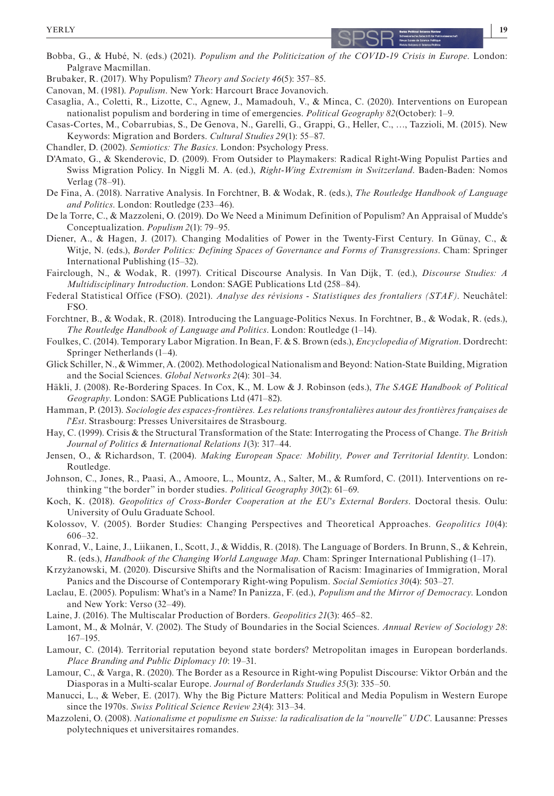

- <span id="page-18-6"></span>Bobba, G., & Hubé, N. (eds.) (2021). *Populism and the Politicization of the COVID-19 Crisis in Europe*. London: Palgrave Macmillan.
- <span id="page-18-1"></span>Brubaker, R. (2017). Why Populism? *Theory and Society 46*(5): 357–85.
- <span id="page-18-12"></span>Canovan, M. (1981). *Populism*. New York: Harcourt Brace Jovanovich.
- <span id="page-18-19"></span>Casaglia, A., Coletti, R., Lizotte, C., Agnew, J., Mamadouh, V., & Minca, C. (2020). Interventions on European nationalist populism and bordering in time of emergencies. *Political Geography 82*(October): 1–9.
- <span id="page-18-14"></span>Casas-Cortes, M., Cobarrubias, S., De Genova, N., Garelli, G., Grappi, G., Heller, C., …, Tazzioli, M. (2015). New Keywords: Migration and Borders. *Cultural Studies 29*(1): 55–87.
- <span id="page-18-2"></span>Chandler, D. (2002). *Semiotics: The Basics*. London: Psychology Press.
- <span id="page-18-5"></span>D'Amato, G., & Skenderovic, D. (2009). From Outsider to Playmakers: Radical Right-Wing Populist Parties and Swiss Migration Policy. In Niggli M. A. (ed.), *Right-Wing Extremism in Switzerland*. Baden-Baden: Nomos Verlag (78–91).
- <span id="page-18-18"></span>De Fina, A. (2018). Narrative Analysis. In Forchtner, B. & Wodak, R. (eds.), *The Routledge Handbook of Language and Politics*. London: Routledge (233–46).
- <span id="page-18-11"></span>De la Torre, C., & Mazzoleni, O. (2019). Do We Need a Minimum Definition of Populism? An Appraisal of Mudde's Conceptualization. *Populism 2*(1): 79–95.
- <span id="page-18-15"></span>Diener, A., & Hagen, J. (2017). Changing Modalities of Power in the Twenty-First Century. In Günay, C., & Witje, N. (eds.), *Border Politics: Defining Spaces of Governance and Forms of Transgressions*. Cham: Springer International Publishing (15–32).
- <span id="page-18-27"></span>Fairclough, N., & Wodak, R. (1997). Critical Discourse Analysis. In Van Dijk, T. (ed.), *Discourse Studies: A Multidisciplinary Introduction*. London: SAGE Publications Ltd (258–84).
- <span id="page-18-25"></span>Federal Statistical Office (FSO). (2021). *Analyse des révisions - Statistiques des frontaliers (STAF)*. Neuchâtel: FSO.
- <span id="page-18-28"></span>Forchtner, B., & Wodak, R. (2018). Introducing the Language-Politics Nexus. In Forchtner, B., & Wodak, R. (eds.), *The Routledge Handbook of Language and Politics*. London: Routledge (1–14).
- <span id="page-18-29"></span>Foulkes, C. (2014). Temporary Labor Migration. In Bean, F. & S. Brown (eds.), *Encyclopedia of Migration*. Dordrecht: Springer Netherlands (1–4).
- <span id="page-18-24"></span>Glick Schiller, N., & Wimmer, A. (2002). Methodological Nationalism and Beyond: Nation-State Building, Migration and the Social Sciences. *Global Networks 2*(4): 301–34.
- <span id="page-18-8"></span>Häkli, J. (2008). Re-Bordering Spaces. In Cox, K., M. Low & J. Robinson (eds.), *The SAGE Handbook of Political Geography*. London: SAGE Publications Ltd (471–82).
- <span id="page-18-3"></span>Hamman, P. (2013). *Sociologie des espaces-frontières. Les relations transfrontalières autour des frontières françaises de l'Est*. Strasbourg: Presses Universitaires de Strasbourg.
- <span id="page-18-7"></span>Hay, C. (1999). Crisis & the Structural Transformation of the State: Interrogating the Process of Change. *The British Journal of Politics & International Relations 1*(3): 317–44.
- <span id="page-18-22"></span>Jensen, O., & Richardson, T. (2004). *Making European Space: Mobility, Power and Territorial Identity*. London: Routledge.
- <span id="page-18-20"></span>Johnson, C., Jones, R., Paasi, A., Amoore, L., Mountz, A., Salter, M., & Rumford, C. (2011). Interventions on rethinking "the border" in border studies. *Political Geography 30*(2): 61–69.
- <span id="page-18-30"></span>Koch, K. (2018). *Geopolitics of Cross-Border Cooperation at the EU's External Borders*. Doctoral thesis. Oulu: University of Oulu Graduate School.
- <span id="page-18-16"></span>Kolossov, V. (2005). Border Studies: Changing Perspectives and Theoretical Approaches. *Geopolitics 10*(4): 606–32.
- <span id="page-18-21"></span>Konrad, V., Laine, J., Liikanen, I., Scott, J., & Widdis, R. (2018). The Language of Borders. In Brunn, S., & Kehrein, R. (eds.), *Handbook of the Changing World Language Map*. Cham: Springer International Publishing (1–17).
- <span id="page-18-0"></span>Krzyżanowski, M. (2020). Discursive Shifts and the Normalisation of Racism: Imaginaries of Immigration, Moral Panics and the Discourse of Contemporary Right-wing Populism. *Social Semiotics 30*(4): 503–27.
- <span id="page-18-13"></span>Laclau, E. (2005). Populism: What's in a Name? In Panizza, F. (ed.), *Populism and the Mirror of Democracy*. London and New York: Verso (32–49).
- <span id="page-18-10"></span>Laine, J. (2016). The Multiscalar Production of Borders. *Geopolitics 21*(3): 465–82.
- <span id="page-18-17"></span>Lamont, M., & Molnár, V. (2002). The Study of Boundaries in the Social Sciences. *Annual Review of Sociology 28*: 167–195.
- <span id="page-18-23"></span>Lamour, C. (2014). Territorial reputation beyond state borders? Metropolitan images in European borderlands. *Place Branding and Public Diplomacy 10*: 19–31.
- <span id="page-18-4"></span>Lamour, C., & Varga, R. (2020). The Border as a Resource in Right-wing Populist Discourse: Viktor Orbán and the Diasporas in a Multi-scalar Europe. *Journal of Borderlands Studies 35*(3): 335–50.
- <span id="page-18-9"></span>Manucci, L., & Weber, E. (2017). Why the Big Picture Matters: Political and Media Populism in Western Europe since the 1970s. *Swiss Political Science Review 23*(4): 313–34.
- <span id="page-18-26"></span>Mazzoleni, O. (2008). *Nationalisme et populisme en Suisse: la radicalisation de la "nouvelle" UDC*. Lausanne: Presses polytechniques et universitaires romandes.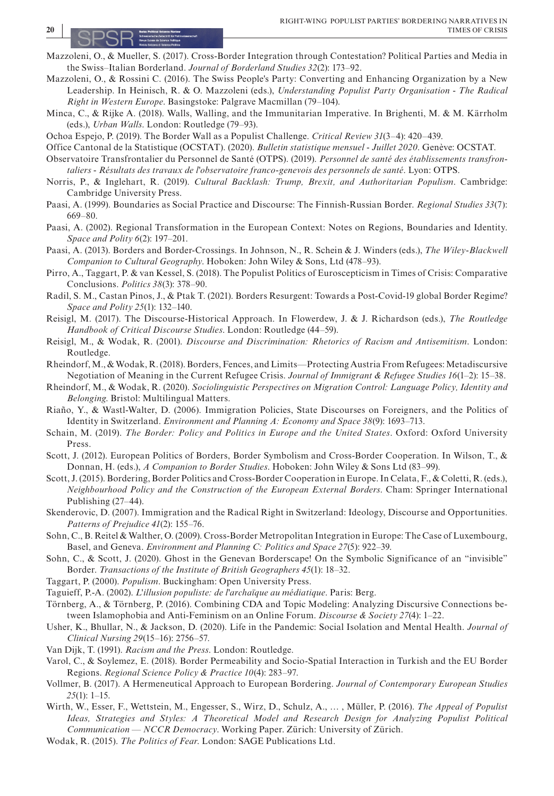- <span id="page-19-3"></span>Mazzoleni, O., & Mueller, S. (2017). Cross-Border Integration through Contestation? Political Parties and Media in the Swiss–Italian Borderland. *Journal of Borderland Studies 32*(2): 173–92.
- <span id="page-19-23"></span>Mazzoleni, O., & Rossini C. (2016). The Swiss People's Party: Converting and Enhancing Organization by a New Leadership. In Heinisch, R. & O. Mazzoleni (eds.), *Understanding Populist Party Organisation - The Radical Right in Western Europe*. Basingstoke: Palgrave Macmillan (79–104).
- <span id="page-19-27"></span>Minca, C., & Rijke A. (2018). Walls, Walling, and the Immunitarian Imperative. In Brighenti, M. & M. Kärrholm (eds.), *Urban Walls*. London: Routledge (79–93).
- <span id="page-19-31"></span>Ochoa Espejo, P. (2019). The Border Wall as a Populist Challenge. *Critical Review 31*(3–4): 420–439.
- <span id="page-19-20"></span>Office Cantonal de la Statistique (OCSTAT). (2020). *Bulletin statistique mensuel - Juillet 2020*. Genève: OCSTAT.
- <span id="page-19-21"></span>Observatoire Transfrontalier du Personnel de Santé (OTPS). (2019). *Personnel de santé des établissements transfrontaliers - Résultats des travaux de l'observatoire franco-genevois des personnels de santé*. Lyon: OTPS.
- <span id="page-19-0"></span>Norris, P., & Inglehart, R. (2019). *Cultural Backlash: Trump, Brexit, and Authoritarian Populism*. Cambridge: Cambridge University Press.
- <span id="page-19-14"></span>Paasi, A. (1999). Boundaries as Social Practice and Discourse: The Finnish-Russian Border. *Regional Studies 33*(7): 669–80.
- <span id="page-19-17"></span>Paasi, A. (2002). Regional Transformation in the European Context: Notes on Regions, Boundaries and Identity. *Space and Polity 6*(2): 197–201.
- <span id="page-19-7"></span>Paasi, A. (2013). Borders and Border-Crossings. In Johnson, N., R. Schein & J. Winders (eds.), *The Wiley-Blackwell Companion to Cultural Geography*. Hoboken: John Wiley & Sons, Ltd (478–93).
- <span id="page-19-19"></span>Pirro, A., Taggart, P. & van Kessel, S. (2018). The Populist Politics of Euroscepticism in Times of Crisis: Comparative Conclusions. *Politics 38*(3): 378–90.
- <span id="page-19-28"></span>Radil, S. M., Castan Pinos, J., & Ptak T. (2021). Borders Resurgent: Towards a Post-Covid-19 global Border Regime? *Space and Polity 25*(1): 132–140.
- <span id="page-19-9"></span>Reisigl, M. (2017). The Discourse-Historical Approach. In Flowerdew, J. & J. Richardson (eds.), *The Routledge Handbook of Critical Discourse Studies*. London: Routledge (44–59).
- <span id="page-19-26"></span>Reisigl, M., & Wodak, R. (2001). *Discourse and Discrimination: Rhetorics of Racism and Antisemitism*. London: Routledge.
- <span id="page-19-5"></span>Rheindorf, M., & Wodak, R. (2018). Borders, Fences, and Limits—Protecting Austria From Refugees: Metadiscursive Negotiation of Meaning in the Current Refugee Crisis. *Journal of Immigrant & Refugee Studies 16*(1–2): 15–38.
- <span id="page-19-12"></span>Rheindorf, M., & Wodak, R. (2020). *Sociolinguistic Perspectives on Migration Control: Language Policy, Identity and Belonging*. Bristol: Multilingual Matters.
- <span id="page-19-29"></span>Riaño, Y., & Wastl-Walter, D. (2006). Immigration Policies, State Discourses on Foreigners, and the Politics of Identity in Switzerland. *Environment and Planning A: Economy and Space 38*(9): 1693–713.
- <span id="page-19-30"></span>Schain, M. (2019). *The Border: Policy and Politics in Europe and the United States*. Oxford: Oxford University Press.
- <span id="page-19-15"></span>Scott, J. (2012). European Politics of Borders, Border Symbolism and Cross-Border Cooperation. In Wilson, T., & Donnan, H. (eds.), *A Companion to Border Studies*. Hoboken: John Wiley & Sons Ltd (83–99).
- <span id="page-19-8"></span>Scott, J. (2015). Bordering, Border Politics and Cross-Border Cooperation in Europe. In Celata, F., & Coletti, R. (eds.), *Neighbourhood Policy and the Construction of the European External Borders*. Cham: Springer International Publishing (27–44).
- <span id="page-19-1"></span>Skenderovic, D. (2007). Immigration and the Radical Right in Switzerland: Ideology, Discourse and Opportunities. *Patterns of Prejudice 41*(2): 155–76.
- <span id="page-19-22"></span>Sohn, C., B. Reitel & Walther, O. (2009). Cross-Border Metropolitan Integration in Europe: The Case of Luxembourg, Basel, and Geneva. *Environment and Planning C: Politics and Space 27*(5): 922–39.
- <span id="page-19-16"></span>Sohn, C., & Scott, J. (2020). Ghost in the Genevan Borderscape! On the Symbolic Significance of an "invisible" Border. *Transactions of the Institute of British Geographers 45*(1): 18–32.
- <span id="page-19-6"></span>Taggart, P. (2000). *Populism*. Buckingham: Open University Press.
- <span id="page-19-11"></span>Taguieff, P.-A. (2002). *L'illusion populiste: de l'archaïque au médiatique*. Paris: Berg.
- <span id="page-19-25"></span>Törnberg, A., & Törnberg, P. (2016). Combining CDA and Topic Modeling: Analyzing Discursive Connections between Islamophobia and Anti-Feminism on an Online Forum. *Discourse & Society 27*(4): 1–22.
- <span id="page-19-4"></span>Usher, K., Bhullar, N., & Jackson, D. (2020). Life in the Pandemic: Social Isolation and Mental Health. *Journal of Clinical Nursing 29*(15–16): 2756–57.
- <span id="page-19-24"></span>Van Dijk, T. (1991). *Racism and the Press*. London: Routledge.
- <span id="page-19-18"></span>Varol, C., & Soylemez, E. (2018). Border Permeability and Socio-Spatial Interaction in Turkish and the EU Border Regions. *Regional Science Policy & Practice 10*(4): 283–97.
- <span id="page-19-13"></span>Vollmer, B. (2017). A Hermeneutical Approach to European Bordering. *Journal of Contemporary European Studies 25*(1): 1–15.
- <span id="page-19-10"></span>Wirth, W., Esser, F., Wettstein, M., Engesser, S., Wirz, D., Schulz, A., … , Müller, P. (2016). *The Appeal of Populist Ideas, Strategies and Styles: A Theoretical Model and Research Design for Analyzing Populist Political Communication — NCCR Democracy*. Working Paper. Zürich: University of Zürich.
- <span id="page-19-2"></span>Wodak, R. (2015). *The Politics of Fear*. London: SAGE Publications Ltd.